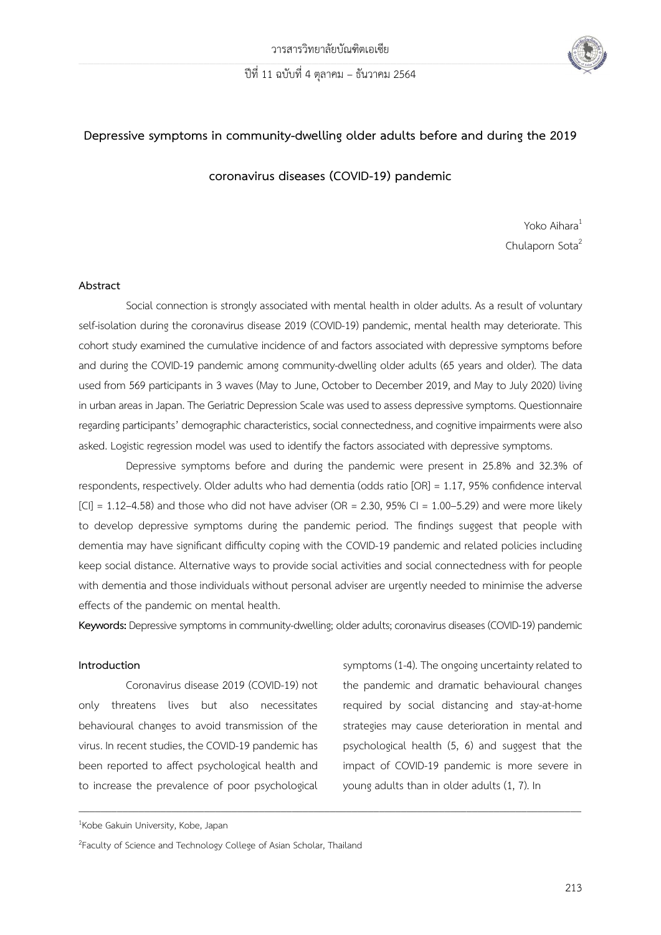

# **Depressive symptoms in community-dwelling older adults before and during the 2019**

**coronavirus diseases (COVID-19) pandemic**

Yoko Aihara<sup>1</sup> Chulaporn Sota<sup>2</sup>

#### **Abstract**

Social connection is strongly associated with mental health in older adults. As a result of voluntary self-isolation during the coronavirus disease 2019 (COVID-19) pandemic, mental health may deteriorate. This cohort study examined the cumulative incidence of and factors associated with depressive symptoms before and during the COVID-19 pandemic among community-dwelling older adults (65 years and older). The data used from 569 participants in 3 waves (May to June, October to December 2019, and May to July 2020) living in urban areas in Japan. The Geriatric Depression Scale was used to assess depressive symptoms. Questionnaire regarding participants' demographic characteristics, social connectedness, and cognitive impairments were also asked. Logistic regression model was used to identify the factors associated with depressive symptoms.

Depressive symptoms before and during the pandemic were present in 25.8% and 32.3% of respondents, respectively. Older adults who had dementia (odds ratio [OR] = 1.17, 95% confidence interval  $|C| = 1.12-4.58$ ) and those who did not have adviser (OR = 2.30, 95% CI = 1.00-5.29) and were more likely to develop depressive symptoms during the pandemic period. The findings suggest that people with dementia may have significant difficulty coping with the COVID-19 pandemic and related policies including keep social distance. Alternative ways to provide social activities and social connectedness with for people with dementia and those individuals without personal adviser are urgently needed to minimise the adverse effects of the pandemic on mental health.

**Keywords:** Depressive symptoms in community-dwelling; older adults; coronavirus diseases (COVID-19) pandemic

 $\overline{\phantom{a}}$  , and the contribution of the contribution of the contribution of the contribution of the contribution of the contribution of the contribution of the contribution of the contribution of the contribution of the

## **Introduction**

Coronavirus disease 2019 (COVID-19) not only threatens lives but also necessitates behavioural changes to avoid transmission of the virus. In recent studies, the COVID-19 pandemic has been reported to affect psychological health and to increase the prevalence of poor psychological

symptoms (1-4). The ongoing uncertainty related to the pandemic and dramatic behavioural changes required by social distancing and stay-at-home strategies may cause deterioration in mental and psychological health (5, 6) and suggest that the impact of COVID-19 pandemic is more severe in young adults than in older adults (1, 7). In

<sup>&</sup>lt;sup>1</sup>Kobe Gakuin University, Kobe, Japan

<sup>&</sup>lt;sup>2</sup> Faculty of Science and Technology College of Asian Scholar, Thailand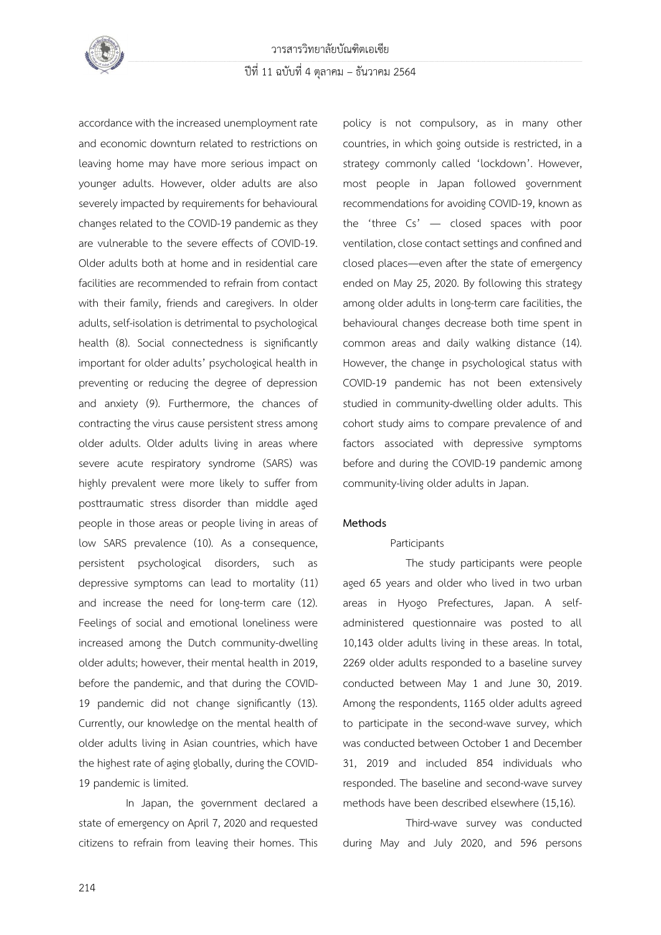

accordance with the increased unemployment rate and economic downturn related to restrictions on leaving home may have more serious impact on younger adults. However, older adults are also severely impacted by requirements for behavioural changes related to the COVID-19 pandemic as they are vulnerable to the severe effects of COVID-19. Older adults both at home and in residential care facilities are recommended to refrain from contact with their family, friends and caregivers. In older adults, self-isolation is detrimental to psychological health (8). Social connectedness is significantly important for older adults' psychological health in preventing or reducing the degree of depression and anxiety (9). Furthermore, the chances of contracting the virus cause persistent stress among older adults. Older adults living in areas where severe acute respiratory syndrome (SARS) was highly prevalent were more likely to suffer from posttraumatic stress disorder than middle aged people in those areas or people living in areas of low SARS prevalence (10). As a consequence, persistent psychological disorders, such as depressive symptoms can lead to mortality (11) and increase the need for long-term care (12). Feelings of social and emotional loneliness were increased among the Dutch community-dwelling older adults; however, their mental health in 2019, before the pandemic, and that during the COVID-19 pandemic did not change significantly (13). Currently, our knowledge on the mental health of older adults living in Asian countries, which have the highest rate of aging globally, during the COVID-19 pandemic is limited.

In Japan, the government declared a state of emergency on April 7, 2020 and requested citizens to refrain from leaving their homes. This policy is not compulsory, as in many other countries, in which going outside is restricted, in a strategy commonly called 'lockdown'. However, most people in Japan followed government recommendations for avoiding COVID-19, known as the 'three Cs' — closed spaces with poor ventilation, close contact settings and confined and closed places—even after the state of emergency ended on May 25, 2020. By following this strategy among older adults in long-term care facilities, the behavioural changes decrease both time spent in common areas and daily walking distance (14). However, the change in psychological status with COVID-19 pandemic has not been extensively studied in community-dwelling older adults. This cohort study aims to compare prevalence of and factors associated with depressive symptoms before and during the COVID-19 pandemic among community-living older adults in Japan.

#### **Methods**

## Participants

The study participants were people aged 65 years and older who lived in two urban areas in Hyogo Prefectures, Japan. A selfadministered questionnaire was posted to all 10,143 older adults living in these areas. In total, 2269 older adults responded to a baseline survey conducted between May 1 and June 30, 2019. Among the respondents, 1165 older adults agreed to participate in the second-wave survey, which was conducted between October 1 and December 31, 2019 and included 854 individuals who responded. The baseline and second-wave survey methods have been described elsewhere (15,16).

Third-wave survey was conducted during May and July 2020, and 596 persons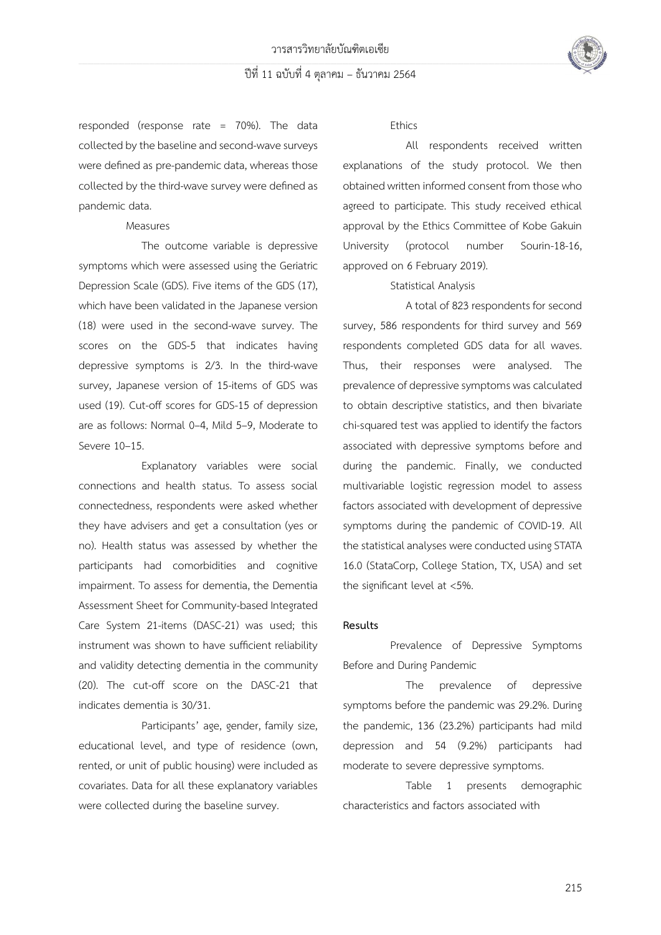

responded (response rate = 70%). The data collected by the baseline and second-wave surveys were defined as pre-pandemic data, whereas those collected by the third-wave survey were defined as pandemic data.

## Measures

The outcome variable is depressive symptoms which were assessed using the Geriatric Depression Scale (GDS). Five items of the GDS (17), which have been validated in the Japanese version (18) were used in the second-wave survey. The scores on the GDS-5 that indicates having depressive symptoms is 2/3. In the third-wave survey, Japanese version of 15-items of GDS was used (19). Cut-off scores for GDS-15 of depression are as follows: Normal 0–4, Mild 5–9, Moderate to Severe 10–15.

Explanatory variables were social connections and health status. To assess social connectedness, respondents were asked whether they have advisers and get a consultation (yes or no). Health status was assessed by whether the participants had comorbidities and cognitive impairment. To assess for dementia, the Dementia Assessment Sheet for Community-based Integrated Care System 21-items (DASC-21) was used; this instrument was shown to have sufficient reliability and validity detecting dementia in the community (20). The cut-off score on the DASC-21 that indicates dementia is 30/31.

Participants' age, gender, family size, educational level, and type of residence (own, rented, or unit of public housing) were included as covariates. Data for all these explanatory variables were collected during the baseline survey.

## Ethics

All respondents received written explanations of the study protocol. We then obtained written informed consent from those who agreed to participate. This study received ethical approval by the Ethics Committee of Kobe Gakuin University (protocol number Sourin-18-16, approved on 6 February 2019).

# Statistical Analysis

A total of 823 respondents for second survey, 586 respondents for third survey and 569 respondents completed GDS data for all waves. Thus, their responses were analysed. The prevalence of depressive symptoms was calculated to obtain descriptive statistics, and then bivariate chi-squared test was applied to identify the factors associated with depressive symptoms before and during the pandemic. Finally, we conducted multivariable logistic regression model to assess factors associated with development of depressive symptoms during the pandemic of COVID-19. All the statistical analyses were conducted using STATA 16.0 (StataCorp, College Station, TX, USA) and set the significant level at <5%.

#### **Results**

Prevalence of Depressive Symptoms Before and During Pandemic

The prevalence of depressive symptoms before the pandemic was 29.2%. During the pandemic, 136 (23.2%) participants had mild depression and 54 (9.2%) participants had moderate to severe depressive symptoms.

Table 1 presents demographic characteristics and factors associated with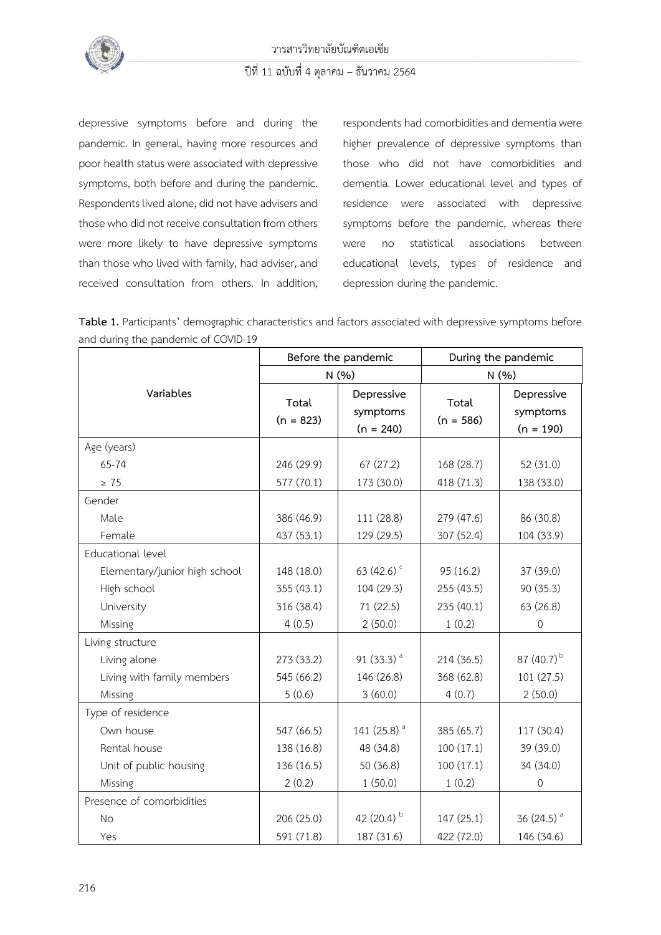

depressive symptoms before and during the pandemic. In general, having more resources and poor health status were associated with depressive symptoms, both before and during the pandemic. Respondents lived alone, did not have advisers and those who did not receive consultation from others were more likely to have depressive symptoms than those who lived with family, had adviser, and received consultation from others. In addition, respondents had comorbidities and dementia were higher prevalence of depressive symptoms than those who did not have comorbidities and dementia. Lower educational level and types of residence were associated with depressive symptoms before the pandemic, whereas there were no statistical associations between educational levels, types of residence and depression during the pandemic.

Table 1. Participants' demographic characteristics and factors associated with depressive symptoms before and during the pandemic of COVID-19

|                               | Before the pandemic  |                                       | During the pandemic  |                                       |
|-------------------------------|----------------------|---------------------------------------|----------------------|---------------------------------------|
|                               | N(% )                |                                       | N(% )                |                                       |
| Variables                     | Total<br>$(n = 823)$ | Depressive<br>symptoms<br>$(n = 240)$ | Total<br>$(n = 586)$ | Depressive<br>symptoms<br>$(n = 190)$ |
| Age (years)                   |                      |                                       |                      |                                       |
| 65-74                         | 246 (29.9)           | 67(27.2)                              | 168 (28.7)           | 52 (31.0)                             |
| $\geq 75$                     | 577 (70.1)           | 173 (30.0)                            | 418 (71.3)           | 138 (33.0)                            |
| Gender                        |                      |                                       |                      |                                       |
| Male                          | 386 (46.9)           | 111 (28.8)                            | 279 (47.6)           | 86 (30.8)                             |
| Female                        | 437 (53.1)           | 129 (29.5)                            | 307 (52.4)           | 104 (33.9)                            |
| Educational level             |                      |                                       |                      |                                       |
| Elementary/junior high school | 148 (18.0)           | 63 $(42.6)$ <sup>c</sup>              | 95 (16.2)            | 37 (39.0)                             |
| High school                   | 355 (43.1)           | 104 (29.3)                            | 255 (43.5)           | 90 (35.3)                             |
| University                    | 316 (38.4)           | 71 (22.5)                             | 235 (40.1)           | 63(26.8)                              |
| Missing                       | 4(0.5)               | 2(50.0)                               | 1(0.2)               | $\mathbf 0$                           |
| Living structure              |                      |                                       |                      |                                       |
| Living alone                  | 273 (33.2)           | 91 $(33.3)^a$                         | 214 (36.5)           | 87 (40.7) <sup>b</sup>                |
| Living with family members    | 545 (66.2)           | 146 (26.8)                            | 368 (62.8)           | 101 (27.5)                            |
| Missing                       | 5(0.6)               | 3(60.0)                               | 4(0.7)               | 2(50.0)                               |
| Type of residence             |                      |                                       |                      |                                       |
| Own house                     | 547 (66.5)           | 141 (25.8) <sup>a</sup>               | 385 (65.7)           | 117 (30.4)                            |
| Rental house                  | 138 (16.8)           | 48 (34.8)                             | 100(17.1)            | 39 (39.0)                             |
| Unit of public housing        | 136 (16.5)           | 50 (36.8)                             | 100(17.1)            | 34 (34.0)                             |
| Missing                       | 2(0.2)               | 1(50.0)                               | 1(0.2)               | $\mathbf 0$                           |
| Presence of comorbidities     |                      |                                       |                      |                                       |
| <b>No</b>                     | 206 (25.0)           | 42 $(20.4)^{b}$                       | 147 (25.1)           | 36 $(24.5)$ <sup>a</sup>              |
| Yes                           | 591 (71.8)           | 187 (31.6)                            | 422 (72.0)           | 146 (34.6)                            |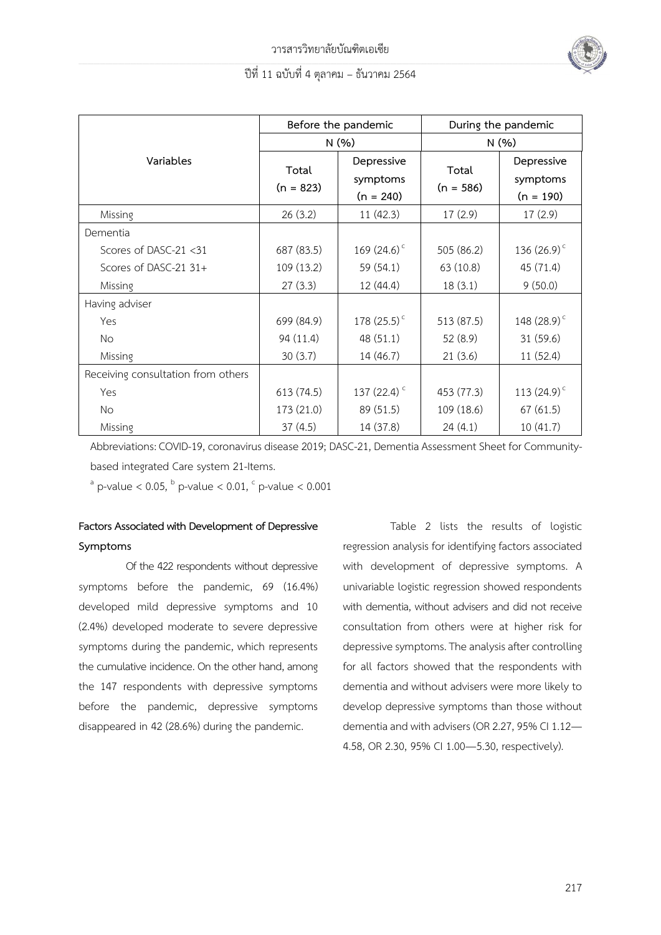

|                                    | Before the pandemic  |                                       | During the pandemic  |                                       |
|------------------------------------|----------------------|---------------------------------------|----------------------|---------------------------------------|
|                                    | N(%)                 |                                       | N(% )                |                                       |
| Variables                          | Total<br>$(n = 823)$ | Depressive<br>symptoms<br>$(n = 240)$ | Total<br>$(n = 586)$ | Depressive<br>symptoms<br>$(n = 190)$ |
| Missing                            | 26(3.2)              | 11(42.3)                              | 17(2.9)              | 17(2.9)                               |
| Dementia                           |                      |                                       |                      |                                       |
| Scores of DASC-21 <31              | 687 (83.5)           | 169 $(24.6)^c$                        | 505 (86.2)           | 136 $(26.9)^c$                        |
| Scores of DASC-21 31+              | 109 (13.2)           | 59 (54.1)                             | 63 (10.8)            | 45 (71.4)                             |
| Missing                            | 27(3.3)              | 12 (44.4)                             | 18(3.1)              | 9(50.0)                               |
| Having adviser                     |                      |                                       |                      |                                       |
| Yes                                | 699 (84.9)           | 178 $(25.5)^c$                        | 513 (87.5)           | 148 (28.9) <sup>c</sup>               |
| <b>No</b>                          | 94 (11.4)            | 48(51.1)                              | 52 (8.9)             | 31(59.6)                              |
| Missing                            | 30(3.7)              | 14 (46.7)                             | 21(3.6)              | 11(52.4)                              |
| Receiving consultation from others |                      |                                       |                      |                                       |
| Yes                                | 613 (74.5)           | 137 $(22.4)$ <sup>c</sup>             | 453 (77.3)           | 113 $(24.9)^c$                        |
| <b>No</b>                          | 173 (21.0)           | 89 (51.5)                             | 109 (18.6)           | 67(61.5)                              |
| Missing                            | 37(4.5)              | 14 (37.8)                             | 24(4.1)              | 10(41.7)                              |

Abbreviations: COVID-19, coronavirus disease 2019; DASC-21, Dementia Assessment Sheet for Communitybased integrated Care system 21-Items.

 $^{\circ}$  p-value < 0.05,  $^{\circ}$  p-value < 0.01,  $^{\circ}$  p-value < 0.001

# **Factors Associated with Development of Depressive Symptoms**

Of the 422 respondents without depressive symptoms before the pandemic, 69 (16.4%) developed mild depressive symptoms and 10 (2.4%) developed moderate to severe depressive symptoms during the pandemic, which represents the cumulative incidence. On the other hand, among the 147 respondents with depressive symptoms before the pandemic, depressive symptoms disappeared in 42 (28.6%) during the pandemic.

Table 2 lists the results of logistic regression analysis for identifying factors associated with development of depressive symptoms. A univariable logistic regression showed respondents with dementia, without advisers and did not receive consultation from others were at higher risk for depressive symptoms. The analysis after controlling for all factors showed that the respondents with dementia and without advisers were more likely to develop depressive symptoms than those without dementia and with advisers (OR 2.27, 95% CI 1.12— 4.58, OR 2.30, 95% CI 1.00—5.30, respectively).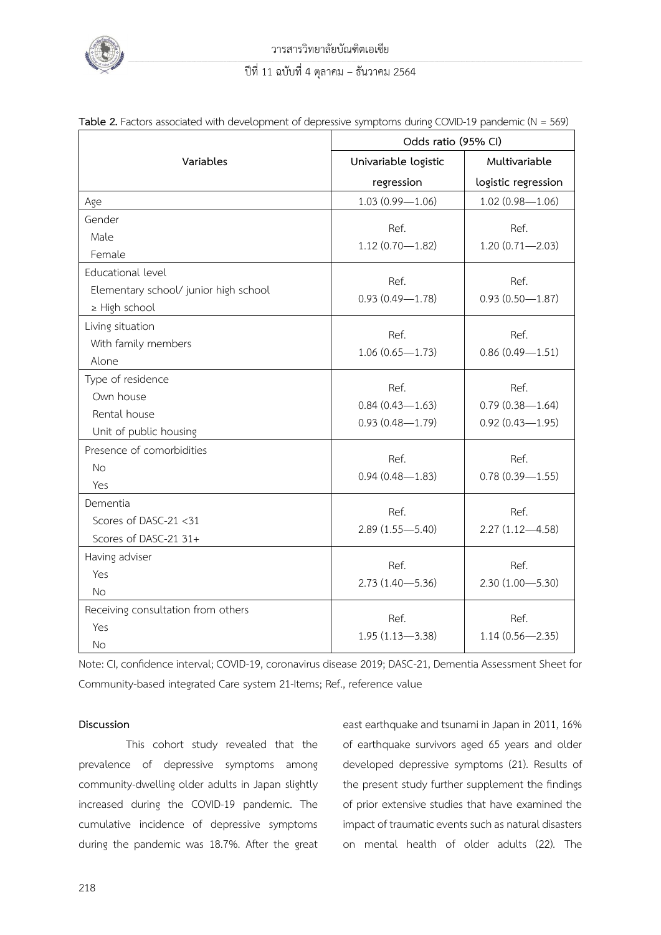

|                                       | Odds ratio (95% CI)  |                     |  |  |
|---------------------------------------|----------------------|---------------------|--|--|
| Variables                             | Univariable logistic | Multivariable       |  |  |
|                                       | regression           | logistic regression |  |  |
| Age                                   | $1.03(0.99 - 1.06)$  | $1.02(0.98 - 1.06)$ |  |  |
| Gender                                | Ref.                 | Ref.                |  |  |
| Male                                  | $1.12(0.70 - 1.82)$  | $1.20(0.71 - 2.03)$ |  |  |
| Female                                |                      |                     |  |  |
| Educational level                     | Ref.                 | Ref.                |  |  |
| Elementary school/ junior high school |                      |                     |  |  |
| ≥ High school                         | $0.93(0.49 - 1.78)$  | $0.93(0.50 - 1.87)$ |  |  |
| Living situation                      | Ref.                 | Ref.                |  |  |
| With family members                   | $1.06(0.65 - 1.73)$  | $0.86(0.49 - 1.51)$ |  |  |
| Alone                                 |                      |                     |  |  |
| Type of residence                     | Ref.                 | Ref.                |  |  |
| Own house                             | $0.84(0.43 - 1.63)$  | $0.79(0.38 - 1.64)$ |  |  |
| Rental house                          | $0.93(0.48 - 1.79)$  | $0.92(0.43 - 1.95)$ |  |  |
| Unit of public housing                |                      |                     |  |  |
| Presence of comorbidities             | Ref.                 | Ref.                |  |  |
| <b>No</b>                             |                      |                     |  |  |
| Yes                                   | $0.94(0.48 - 1.83)$  | $0.78(0.39 - 1.55)$ |  |  |
| Dementia                              | Ref.                 | Ref.                |  |  |
| Scores of DASC-21 <31                 |                      |                     |  |  |
| Scores of DASC-21 31+                 | $2.89(1.55 - 5.40)$  | $2.27(1.12 - 4.58)$ |  |  |
| Having adviser                        | Ref.                 | Ref.                |  |  |
| Yes                                   |                      |                     |  |  |
| No.                                   | $2.73(1.40 - 5.36)$  | $2.30(1.00 - 5.30)$ |  |  |
| Receiving consultation from others    | Ref.                 | Ref.                |  |  |
| Yes                                   | $1.95(1.13 - 3.38)$  | $1.14(0.56 - 2.35)$ |  |  |
| <b>No</b>                             |                      |                     |  |  |

| Table 2. Factors associated with development of depressive symptoms during COVID-19 pandemic (N = 569) |  |  |
|--------------------------------------------------------------------------------------------------------|--|--|
|                                                                                                        |  |  |

Note: CI, confidence interval; COVID-19, coronavirus disease 2019; DASC-21, Dementia Assessment Sheet for Community-based integrated Care system 21-Items; Ref., reference value

# **Discussion**

This cohort study revealed that the prevalence of depressive symptoms among community-dwelling older adults in Japan slightly increased during the COVID-19 pandemic. The cumulative incidence of depressive symptoms during the pandemic was 18.7%. After the great east earthquake and tsunami in Japan in 2011, 16% of earthquake survivors aged 65 years and older developed depressive symptoms (21). Results of the present study further supplement the findings of prior extensive studies that have examined the impact of traumatic events such as natural disasters on mental health of older adults (22). The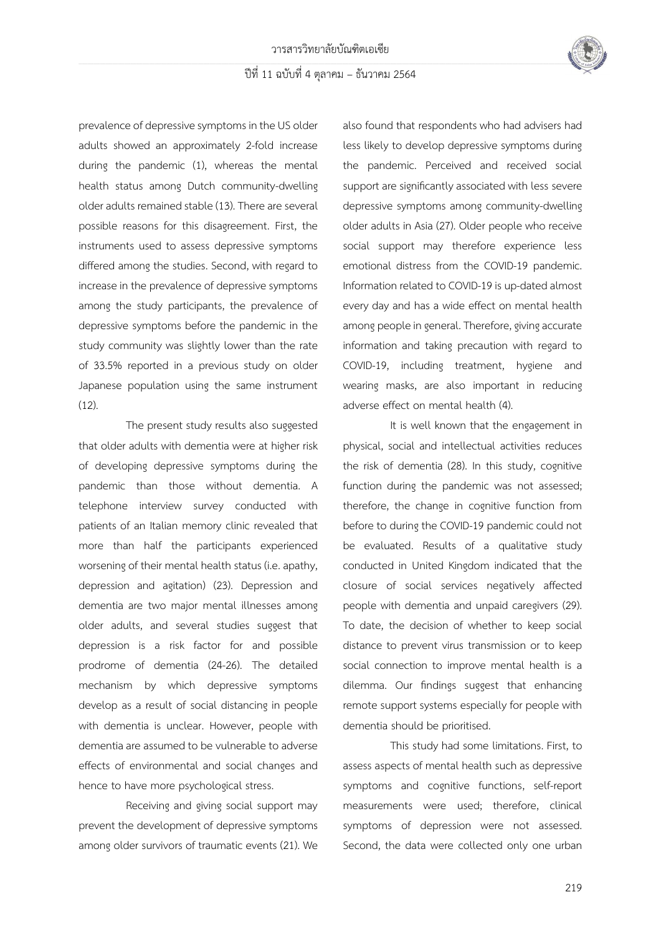

prevalence of depressive symptoms in the US older adults showed an approximately 2-fold increase during the pandemic (1), whereas the mental health status among Dutch community-dwelling older adults remained stable (13). There are several possible reasons for this disagreement. First, the instruments used to assess depressive symptoms differed among the studies. Second, with regard to increase in the prevalence of depressive symptoms among the study participants, the prevalence of depressive symptoms before the pandemic in the study community was slightly lower than the rate of 33.5% reported in a previous study on older Japanese population using the same instrument (12).

The present study results also suggested that older adults with dementia were at higher risk of developing depressive symptoms during the pandemic than those without dementia. A telephone interview survey conducted with patients of an Italian memory clinic revealed that more than half the participants experienced worsening of their mental health status (i.e. apathy, depression and agitation) (23). Depression and dementia are two major mental illnesses among older adults, and several studies suggest that depression is a risk factor for and possible prodrome of dementia (24-26). The detailed mechanism by which depressive symptoms develop as a result of social distancing in people with dementia is unclear. However, people with dementia are assumed to be vulnerable to adverse effects of environmental and social changes and hence to have more psychological stress.

Receiving and giving social support may prevent the development of depressive symptoms among older survivors of traumatic events (21). We

also found that respondents who had advisers had less likely to develop depressive symptoms during the pandemic. Perceived and received social support are significantly associated with less severe depressive symptoms among community-dwelling older adults in Asia (27). Older people who receive social support may therefore experience less emotional distress from the COVID-19 pandemic. Information related to COVID-19 is up-dated almost every day and has a wide effect on mental health among people in general. Therefore, giving accurate information and taking precaution with regard to COVID-19, including treatment, hygiene and wearing masks, are also important in reducing adverse effect on mental health (4).

It is well known that the engagement in physical, social and intellectual activities reduces the risk of dementia (28). In this study, cognitive function during the pandemic was not assessed; therefore, the change in cognitive function from before to during the COVID-19 pandemic could not be evaluated. Results of a qualitative study conducted in United Kingdom indicated that the closure of social services negatively affected people with dementia and unpaid caregivers (29). To date, the decision of whether to keep social distance to prevent virus transmission or to keep social connection to improve mental health is a dilemma. Our findings suggest that enhancing remote support systems especially for people with dementia should be prioritised.

This study had some limitations. First, to assess aspects of mental health such as depressive symptoms and cognitive functions, self-report measurements were used; therefore, clinical symptoms of depression were not assessed. Second, the data were collected only one urban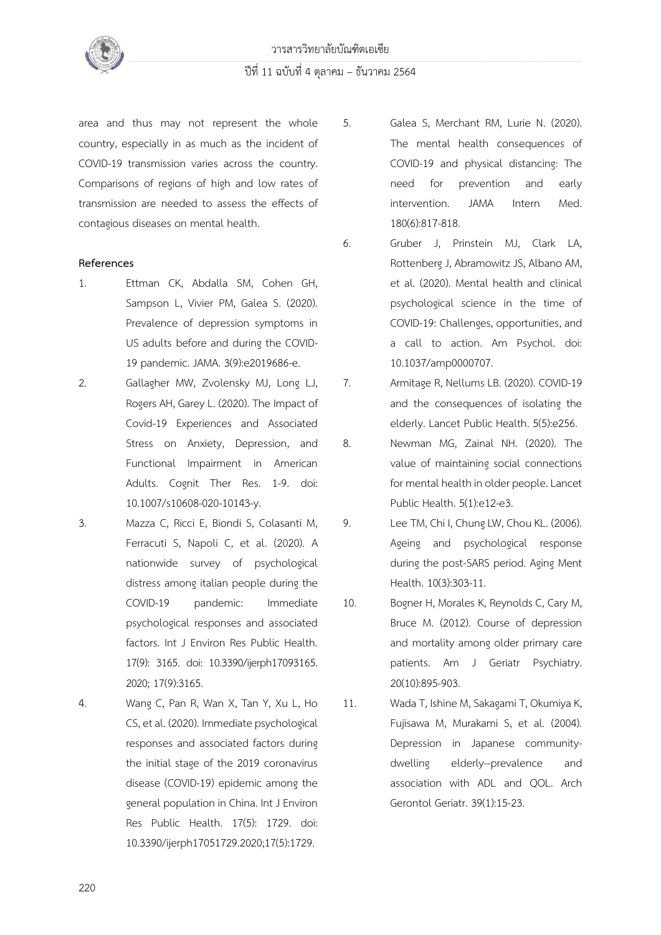

area and thus may not represent the whole country, especially in as much as the incident of COVID-19 transmission varies across the country. Comparisons of regions of high and low rates of transmission are needed to assess the effects of contagious diseases on mental health.

## **References**

- 1. Ettman CK, Abdalla SM, Cohen GH, Sampson L, Vivier PM, Galea S. (2020). Prevalence of depression symptoms in US adults before and during the COVID-19 pandemic. JAMA. 3(9):e2019686-e.
- 2. Gallagher MW, Zvolensky MJ, Long LJ, Rogers AH, Garey L. (2020). The Impact of Covid-19 Experiences and Associated Stress on Anxiety, Depression, and Functional Impairment in American Adults. Cognit Ther Res. 1-9. doi: 10.1007/s10608-020-10143-y.
- 3. Mazza C, Ricci E, Biondi S, Colasanti M, Ferracuti S, Napoli C, et al. (2020). A nationwide survey of psychological distress among italian people during the COVID-19 pandemic: Immediate psychological responses and associated factors. Int J Environ Res Public Health. 17(9): 3165. doi: 10.3390/ijerph17093165. 2020; 17(9):3165.
- 4. Wang C, Pan R, Wan X, Tan Y, Xu L, Ho CS, et al. (2020). Immediate psychological responses and associated factors during the initial stage of the 2019 coronavirus disease (COVID-19) epidemic among the general population in China. Int J Environ Res Public Health. 17(5): 1729. doi: 10.3390/ijerph17051729.2020;17(5):1729.
- 5. Galea S, Merchant RM, Lurie N. (2020). The mental health consequences of COVID-19 and physical distancing: The need for prevention and early intervention. JAMA Intern Med. 180(6):817-818.
- 6. Gruber J, Prinstein MJ, Clark LA, Rottenberg J, Abramowitz JS, Albano AM, et al. (2020). Mental health and clinical psychological science in the time of COVID-19: Challenges, opportunities, and a call to action. Am Psychol. doi: 10.1037/amp0000707.
- 7. Armitage R, Nellums LB. (2020). COVID-19 and the consequences of isolating the elderly. Lancet Public Health. 5(5):e256.
- 8. Newman MG, Zainal NH. (2020). The value of maintaining social connections for mental health in older people. Lancet Public Health. 5(1):e12-e3.
- 9. Lee TM, Chi I, Chung LW, Chou KL. (2006). Ageing and psychological response during the post-SARS period. Aging Ment Health. 10(3):303-11.
- 10. Bogner H, Morales K, Reynolds C, Cary M, Bruce M. (2012). Course of depression and mortality among older primary care patients. Am J Geriatr Psychiatry. 20(10):895-903.
- 11. Wada T, Ishine M, Sakagami T, Okumiya K, Fujisawa M, Murakami S, et al. (2004). Depression in Japanese communitydwelling elderly--prevalence and association with ADL and QOL. Arch Gerontol Geriatr. 39(1):15-23.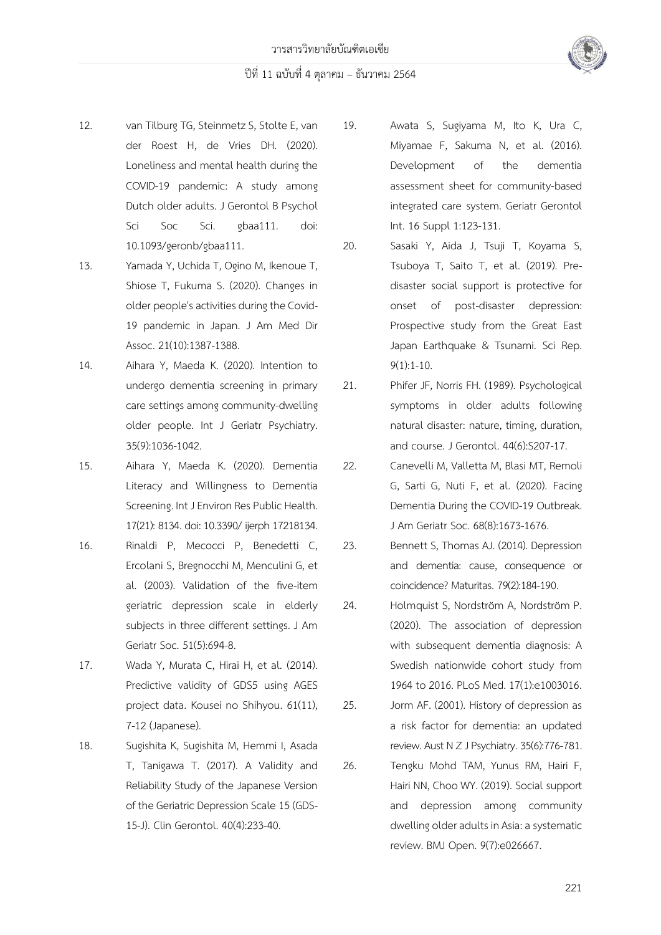



13. Yamada Y, Uchida T, Ogino M, Ikenoue T, Shiose T, Fukuma S. (2020). Changes in older people's activities during the Covid-19 pandemic in Japan. J Am Med Dir Assoc. 21(10):1387-1388.

14. Aihara Y, Maeda K. (2020). Intention to undergo dementia screening in primary care settings among community-dwelling older people. Int J Geriatr Psychiatry. 35(9):1036-1042.

15. Aihara Y, Maeda K. (2020). Dementia Literacy and Willingness to Dementia Screening. Int J Environ Res Public Health. 17(21): 8134. doi: 10.3390/ ijerph 17218134.

16. Rinaldi P, Mecocci P, Benedetti C, Ercolani S, Bregnocchi M, Menculini G, et al. (2003). Validation of the five-item geriatric depression scale in elderly subjects in three different settings. J Am Geriatr Soc. 51(5):694-8.

17. Wada Y, Murata C, Hirai H, et al. (2014). Predictive validity of GDS5 using AGES project data. Kousei no Shihyou. 61(11), 7-12 (Japanese).

18. Sugishita K, Sugishita M, Hemmi I, Asada T, Tanigawa T. (2017). A Validity and Reliability Study of the Japanese Version of the Geriatric Depression Scale 15 (GDS-15-J). Clin Gerontol. 40(4):233-40.

19. Awata S, Sugiyama M, Ito K, Ura C, Miyamae F, Sakuma N, et al. (2016). Development of the dementia assessment sheet for community-based integrated care system. Geriatr Gerontol Int. 16 Suppl 1:123-131.

20. Sasaki Y, Aida J, Tsuji T, Koyama S, Tsuboya T, Saito T, et al. (2019). Predisaster social support is protective for onset of post-disaster depression: Prospective study from the Great East Japan Earthquake & Tsunami. Sci Rep. 9(1):1-10.

21. Phifer JF, Norris FH. (1989). Psychological symptoms in older adults following natural disaster: nature, timing, duration, and course. J Gerontol. 44(6):S207-17.

22. Canevelli M, Valletta M, Blasi MT, Remoli G, Sarti G, Nuti F, et al. (2020). Facing Dementia During the COVID-19 Outbreak. J Am Geriatr Soc. 68(8):1673-1676.

23. Bennett S, Thomas AJ. (2014). Depression and dementia: cause, consequence or coincidence? Maturitas. 79(2):184-190.

24. Holmquist S, Nordström A, Nordström P. (2020). The association of depression with subsequent dementia diagnosis: A Swedish nationwide cohort study from 1964 to 2016. PLoS Med. 17(1):e1003016.

25. Jorm AF. (2001). History of depression as a risk factor for dementia: an updated review. Aust N Z J Psychiatry. 35(6):776-781.

26. Tengku Mohd TAM, Yunus RM, Hairi F, Hairi NN, Choo WY. (2019). Social support and depression among community dwelling older adults in Asia: a systematic review. BMJ Open. 9(7):e026667.